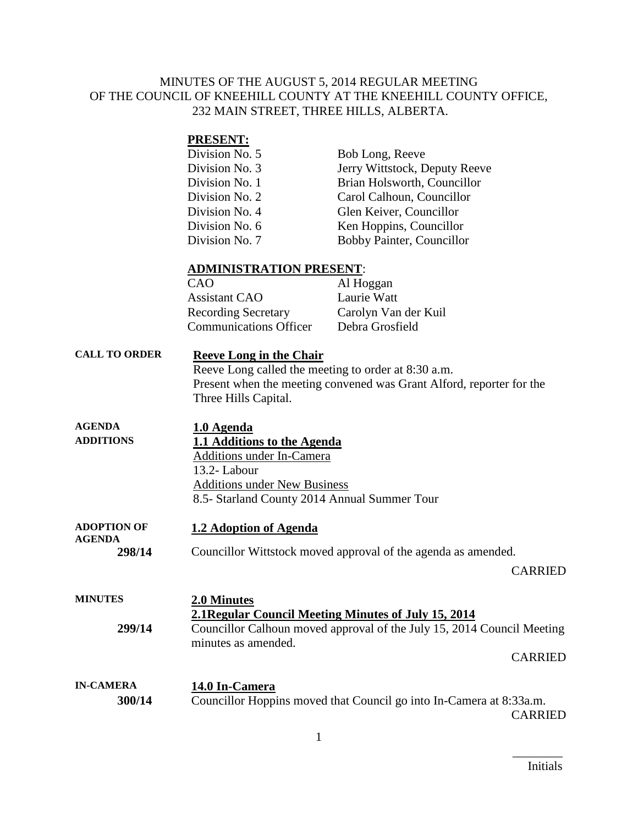## MINUTES OF THE AUGUST 5, 2014 REGULAR MEETING OF THE COUNCIL OF KNEEHILL COUNTY AT THE KNEEHILL COUNTY OFFICE, 232 MAIN STREET, THREE HILLS, ALBERTA.

# **PRESENT:**

| Division No. 5 | Bob Long, Reeve               |
|----------------|-------------------------------|
| Division No. 3 | Jerry Wittstock, Deputy Reeve |
| Division No. 1 | Brian Holsworth, Councillor   |
| Division No. 2 | Carol Calhoun, Councillor     |
| Division No. 4 | Glen Keiver, Councillor       |
| Division No. 6 | Ken Hoppins, Councillor       |
| Division No. 7 | Bobby Painter, Councillor     |

### **ADMINISTRATION PRESENT**:

| CAO                           | Al Hoggan            |
|-------------------------------|----------------------|
| <b>Assistant CAO</b>          | Laurie Watt          |
| <b>Recording Secretary</b>    | Carolyn Van der Kuil |
| <b>Communications Officer</b> | Debra Grosfield      |
|                               |                      |

# **CALL TO ORDER Reeve Long in the Chair** Reeve Long called the meeting to order at 8:30 a.m. Present when the meeting convened was Grant Alford, reporter for the Three Hills Capital.

| <b>AGENDA</b>    | 1.0 Agenda                                   |
|------------------|----------------------------------------------|
| <b>ADDITIONS</b> | 1.1 Additions to the Agenda                  |
|                  | Additions under In-Camera                    |
|                  | 13.2- Labour                                 |
|                  | <b>Additions under New Business</b>          |
|                  | 8.5- Starland County 2014 Annual Summer Tour |
|                  |                                              |

#### **ADOPTION OF AGENDA 1.2 Adoption of Agenda 298/14** Councillor Wittstock moved approval of the agenda as amended.

### CARRIED

| <b>MINUTES</b>   | 2.0 Minutes<br>2.1 Regular Council Meeting Minutes of July 15, 2014                           |
|------------------|-----------------------------------------------------------------------------------------------|
| 299/14           | Councillor Calhoun moved approval of the July 15, 2014 Council Meeting<br>minutes as amended. |
|                  | <b>CARRIED</b>                                                                                |
| <b>IN-CAMERA</b> | 14.0 In-Camera                                                                                |
| 300/14           | Councillor Hoppins moved that Council go into In-Camera at 8:33a.m.                           |
|                  | CARRIED                                                                                       |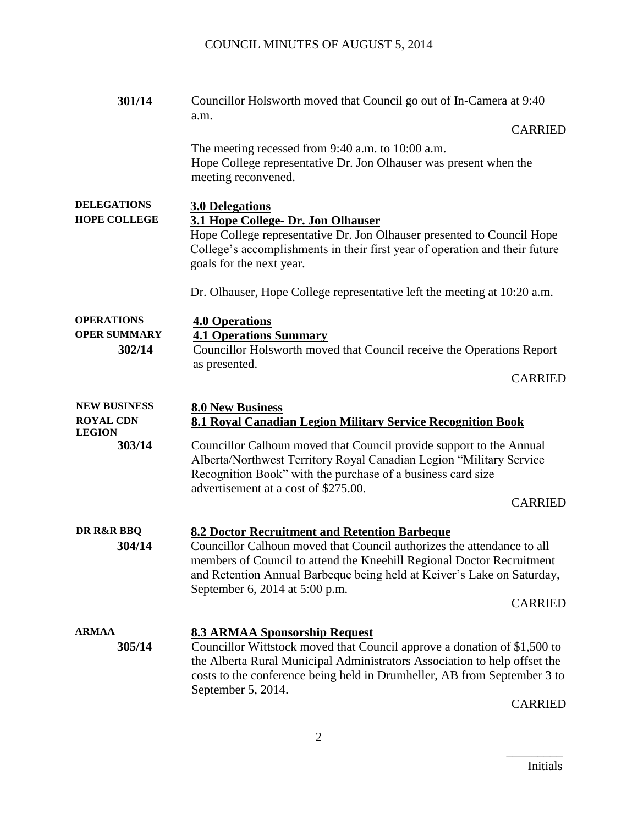| 301/14                                             | Councillor Holsworth moved that Council go out of In-Camera at 9:40<br>a.m.                                                                                                                                                                                                                                                    |
|----------------------------------------------------|--------------------------------------------------------------------------------------------------------------------------------------------------------------------------------------------------------------------------------------------------------------------------------------------------------------------------------|
|                                                    | <b>CARRIED</b>                                                                                                                                                                                                                                                                                                                 |
|                                                    | The meeting recessed from 9:40 a.m. to 10:00 a.m.<br>Hope College representative Dr. Jon Olhauser was present when the<br>meeting reconvened.                                                                                                                                                                                  |
| <b>DELEGATIONS</b><br><b>HOPE COLLEGE</b>          | <b>3.0 Delegations</b><br>3.1 Hope College- Dr. Jon Olhauser<br>Hope College representative Dr. Jon Olhauser presented to Council Hope<br>College's accomplishments in their first year of operation and their future<br>goals for the next year.                                                                              |
|                                                    | Dr. Olhauser, Hope College representative left the meeting at 10:20 a.m.                                                                                                                                                                                                                                                       |
| <b>OPERATIONS</b><br><b>OPER SUMMARY</b><br>302/14 | <b>4.0 Operations</b><br><b>4.1 Operations Summary</b><br>Councillor Holsworth moved that Council receive the Operations Report<br>as presented.<br><b>CARRIED</b>                                                                                                                                                             |
| <b>NEW BUSINESS</b><br><b>ROYAL CDN</b>            | <b>8.0 New Business</b>                                                                                                                                                                                                                                                                                                        |
| <b>LEGION</b>                                      | 8.1 Royal Canadian Legion Military Service Recognition Book                                                                                                                                                                                                                                                                    |
| 303/14                                             | Councillor Calhoun moved that Council provide support to the Annual<br>Alberta/Northwest Territory Royal Canadian Legion "Military Service<br>Recognition Book" with the purchase of a business card size<br>advertisement at a cost of \$275.00.                                                                              |
|                                                    | <b>CARRIED</b>                                                                                                                                                                                                                                                                                                                 |
| DR R&R BBQ<br>304/14                               | 8.2 Doctor Recruitment and Retention Barbeque<br>Councillor Calhoun moved that Council authorizes the attendance to all<br>members of Council to attend the Kneehill Regional Doctor Recruitment<br>and Retention Annual Barbeque being held at Keiver's Lake on Saturday,<br>September 6, 2014 at 5:00 p.m.<br><b>CARRIED</b> |
| <b>ARMAA</b><br>305/14                             | <b>8.3 ARMAA Sponsorship Request</b><br>Councillor Wittstock moved that Council approve a donation of \$1,500 to<br>the Alberta Rural Municipal Administrators Association to help offset the<br>costs to the conference being held in Drumheller, AB from September 3 to<br>September 5, 2014.<br><b>CARRIED</b>              |

 $\overline{\phantom{a}}$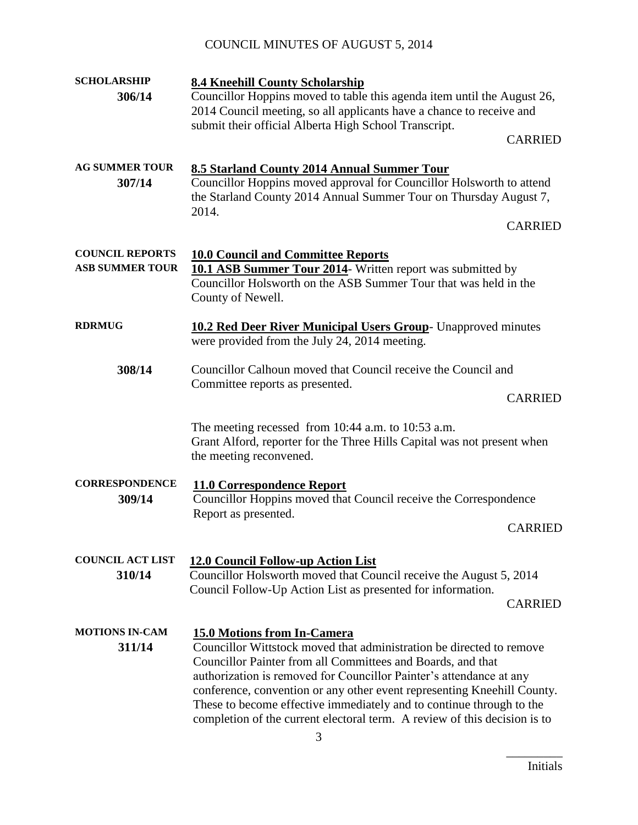# COUNCIL MINUTES OF AUGUST 5, 2014

| <b>SCHOLARSHIP</b>              | <b>8.4 Kneehill County Scholarship</b>                                                                                                          |
|---------------------------------|-------------------------------------------------------------------------------------------------------------------------------------------------|
| 306/14                          | Councillor Hoppins moved to table this agenda item until the August 26,                                                                         |
|                                 | 2014 Council meeting, so all applicants have a chance to receive and                                                                            |
|                                 | submit their official Alberta High School Transcript.                                                                                           |
|                                 | <b>CARRIED</b>                                                                                                                                  |
| <b>AG SUMMER TOUR</b>           | 8.5 Starland County 2014 Annual Summer Tour                                                                                                     |
| 307/14                          | Councillor Hoppins moved approval for Councillor Holsworth to attend                                                                            |
|                                 | the Starland County 2014 Annual Summer Tour on Thursday August 7,                                                                               |
|                                 | 2014.                                                                                                                                           |
|                                 | <b>CARRIED</b>                                                                                                                                  |
| <b>COUNCIL REPORTS</b>          | <b>10.0 Council and Committee Reports</b>                                                                                                       |
| <b>ASB SUMMER TOUR</b>          | <b>10.1 ASB Summer Tour 2014</b> Written report was submitted by                                                                                |
|                                 | Councillor Holsworth on the ASB Summer Tour that was held in the                                                                                |
|                                 | County of Newell.                                                                                                                               |
|                                 |                                                                                                                                                 |
| <b>RDRMUG</b>                   | <b>10.2 Red Deer River Municipal Users Group-</b> Unapproved minutes<br>were provided from the July 24, 2014 meeting.                           |
|                                 |                                                                                                                                                 |
| 308/14                          | Councillor Calhoun moved that Council receive the Council and                                                                                   |
|                                 | Committee reports as presented.                                                                                                                 |
|                                 | <b>CARRIED</b>                                                                                                                                  |
|                                 | The meeting recessed from $10:44$ a.m. to $10:53$ a.m.                                                                                          |
|                                 | Grant Alford, reporter for the Three Hills Capital was not present when                                                                         |
|                                 | the meeting reconvened.                                                                                                                         |
|                                 |                                                                                                                                                 |
| <b>CORRESPONDENCE</b><br>309/14 | <b>11.0 Correspondence Report</b>                                                                                                               |
|                                 | Councillor Hoppins moved that Council receive the Correspondence<br>Report as presented.                                                        |
|                                 | <b>CARRIED</b>                                                                                                                                  |
|                                 |                                                                                                                                                 |
| <b>COUNCIL ACT LIST</b>         | 12.0 Council Follow-up Action List                                                                                                              |
| 310/14                          | Councillor Holsworth moved that Council receive the August 5, 2014                                                                              |
|                                 | Council Follow-Up Action List as presented for information.<br><b>CARRIED</b>                                                                   |
|                                 |                                                                                                                                                 |
| <b>MOTIONS IN-CAM</b>           | 15.0 Motions from In-Camera                                                                                                                     |
| 311/14                          | Councillor Wittstock moved that administration be directed to remove                                                                            |
|                                 | Councillor Painter from all Committees and Boards, and that                                                                                     |
|                                 | authorization is removed for Councillor Painter's attendance at any                                                                             |
|                                 | conference, convention or any other event representing Kneehill County.<br>These to become effective immediately and to continue through to the |
|                                 | completion of the current electoral term. A review of this decision is to                                                                       |

 $\overline{\phantom{a}}$